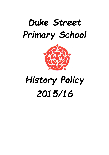## Duke Street Primary School



# History Policy 2015/16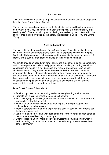#### **Introduction**

This policy outlines the teaching, organisation and management of history taught and learnt at Duke Street Primary School.

The policy has been drawn up as a result of staff discussion and has the agreement of the Governing Body. The implementation of this policy is the responsibility of all teaching staff. The responsibility for monitoring and reviewing the content within this subject area is to be reviewed by the history subject leaders Louis Reay and Emma Young.

#### **Aims and objectives**

The aim of history teaching here at Duke Street Primary School is to stimulate the children's interest and understanding about the life of people who lived in the past. We teach children a sense of chronology, and through this they develop a sense of identity and a cultural understanding based on their historical heritage.

We aim to provide an opportunity for all children to experience a balanced curriculum and to develop academically, morally, physically and socially according to their own capabilities and needs in a well-balanced and friendly atmosphere in which each child feels valued. They learn to value their own and other people's cultures in modern multicultural Britain and, by considering how people lived in the past, they are better able to make their own life choices today. We teach children to understand how events in the past have influenced our lives today; we also teach them to investigate these past events and, by so doing, to develop the skills of enquiry, analysis, interpretation and problem-solving.

Duke Street Primary School aims to:

- $\triangleright$  Provide pupils with a secure, caring and stimulating learning environment –
- $\triangleright$  Promote self-discipline, moral values and self-esteem  $-$
- $\triangleright$  Set challenging yet realistic goals in order to allow each child and member of staff to reach his or her full potential –
- $\triangleright$  Encourage an enthusiastic attitude to teaching and learning through a wellbalanced and varied curriculum –
- $\triangleright$  Work in partnership with parents to provide the best for each child in order to get the best from each child –
- $\triangleright$  Learn from each other, learn with each other and learn on behalf of each other as part of a networked learning community –
- $\triangleright$  Offer colleagues an enjoyable, positive and welcoming environment in which to work, fostering both team commitment and the well-being of everyone within our school community –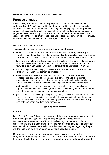#### **National Curriculum (2014) aims and objectives:**

### **Purpose of study**

A high-quality history education will help pupils gain a coherent knowledge and understanding of Britain's past and that of the wider world. It should inspire pupils' curiosity to know more about the past. Teaching should equip pupils to ask perceptive questions, think critically, weigh evidence, sift arguments, and develop perspective and judgement. History helps pupils to understand the complexity of people's lives, the process of change, the diversity of societies and relationships between different groups, as well as their own identity and the challenges of their time.

#### National Curriculum 2014 Aims

The national curriculum for history aims to ensure that all pupils:

- know and understand the history of these islands as a coherent, chronological narrative, from the earliest times to the present day: how people's lives have shaped this nation and how Britain has influenced and been influenced by the wider world
- know and understand significant aspects of the history of the wider world: the nature of ancient civilisations; the expansion and dissolution of empires; characteristic features of past non-European societies; achievements and follies of mankind
- gain and deploy a historically grounded understanding of abstract terms such as 'empire', 'civilisation', 'parliament' and 'peasantry'
- understand historical concepts such as continuity and change, cause and consequence, similarity, difference and significance, and use them to make connections, draw contrasts, analyse trends, frame historically-valid questions and create their own structured accounts, including written narratives and analyses
- understand the methods of historical enquiry, including how evidence is used rigorously to make historical claims, and discern how and why contrasting arguments and interpretations of the past have been constructed.
- gain historical perspective by placing their growing knowledge into different contexts, understanding the connections between local, regional, national and international history; between cultural, economic, military, political, religious and social history; and between short- and long-term timescales.

#### **Teaching and Learning**

#### **Content:**

Duke Street Primary School is developing a skills based curriculum taking support from Chris Quigley 'Essentials' and The New National Curriculum 2014. Classes follow a 'Creative Hook' to start the learning of a theme and plan for progression taking into account children's individual learning styles. This approach enables children to take responsibility for their own learning by suggesting the path we, the teachers', take when planning our topic based curriculum.

Underpinning all teaching and learning in History is capturing the children's imagination and curiosity to learn. The start of each theme begins with a hook starter to engage the children and give them a purpose for learning and an enthusiasm to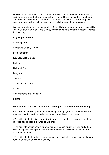find out more. Visits, links and comparisons with other schools around the world, and theme days are built into each unit and planned for at the start of each theme. The skills are revisited and embedded over time to enable the children to gain a deeper understanding, to then apply these skills throughout the curriculum.

We inspire and capture the imagination of the children through the progressive skills which are taught through Chris Quigley's milestones, following the 'Creative Themes for Learning'.

#### **Key Stage 1 themes:**

Cracking Ideas

Great and Ghastly Events

Let's Remember

#### **Key Stage 2 themes:**

**Buildings** 

Rich and Poor

Language

The Arts

Transport and Trade

**Conflict** 

Achievements and Legacies

**Beliefs** 

#### **We use these 'Creative themes for Learning' to enable children to develop:**

• An excellent knowledge and understanding of people, events, and contexts from a range of historical periods and of historical concepts and processes.

• The ability to think critically about history and communicate ideas very confidently in styles appropriate to a range of audiences.

• The ability to consistently support, evaluate and challenge their own and others' views using detailed, appropriate and accurate historical evidence derived from a range of sources.

• The ability to think, reflect, debate, discuss and evaluate the past, formulating and refining questions and lines of enquiry.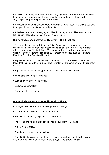• A passion for history and an enthusiastic engagement in learning, which develops their sense of curiosity about the past and their understanding of how and why people interpret the past in different ways.

• A respect for historical evidence and the ability to make robust and critical use of it to support their explanations and judgments.

• A desire to embrace challenging activities, including opportunities to undertake high-quality research across a range of history topics.

#### **Our Key Indicator objectives for History in KS1 will look at:**

• The lives of significant individuals in Britain's past who have contributed to our nation's achievements - scientists such as Isaac Newton or Michael Faraday, reformers such as Elizabeth Fry or William Wilberforce, medical pioneers such as William Harvey or Florence Nightingale, or creative geniuses such as Isambard Kingdom Brunel or Christina Rossetti.

• Key events in the past that are significant nationally and globally, particularly those that coincide with festivals or other events that are commemorated throughout the year.

- Significant historical events, people and places in their own locality.
- Investigate and interpret the past
- Build an overview of world history
- Understand chronology
- Communicate historically

#### **Our Key Indicator objectives for History in KS2 are:**

- Changes in Britain from the Stone Age to the Iron Age.
- The Roman Empire and its Impact on Britain.
- Britain's settlement by Anglo Saxons and Scots.
- The Viking and Anglo Saxon struggle for the Kingdom of England.
- A local history study.
- A study of a theme in British history.

• Early Civilizations achievements and an in-depth study of one of the following: Ancient Sumer; The Indus Valley; Ancient Egypt; The Shang Dynasty.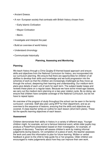- Ancient Greece.
- A non- European society that contrasts with British history chosen from:
	- Early Islamic Civilization
	- Mayan Civilization
	- Benin.
- Investigate and interpret the past
- Build an overview of world history
- Understand chronology
- Communicate historically

#### **Planning, Assessing and Monitoring**

#### **Planning**

We teach history through a Chris Quigley © themed based approach and ensure skills and objectives from the National Curriculum for history, are incorporated into our curriculum planning. We ensure that there are opportunities for children of all abilities to develop their skills and knowledge and we build progression into the schemes of work so that the children are increasingly challenged as they move up through the school, deepening their learning and understanding. Our medium-term plans give details of each unit of work for each term. The subject leader keeps and reviews these plans on a regular basis. Because we have some mixed-age classes, we carry out the medium-term planning on a two-year rotation cycle. By so doing, we ensure that children have complete coverage of the National Curriculum, but do not have to repeat topics

An overview of the program of study throughout the school can be seen in the termly curriculum overview. Staff also plan using MTP for their department, and as an overview to the sequence of lessons, ensuring that the skills and objectives are covered. A class teacher writes an outline for each lesson (short-term plans). These list the specific learning objectives of each lesson.

#### **Assessment**

Children demonstrate their ability in history in a variety of different ways. Younger children might, for example, act out a famous historical event, whilst older pupils may produce a PowerPoint presentation based on their investigation, for example, of voyages of discovery. Teachers will assess children's work by making informal judgements during lessons. On completion of a piece of work, the teacher assesses the work and uses this information to plan for future learning. Written or verbal feedback is given to the child to help guide his or her progress. Older children are encouraged to make judgements about how they can improve their own work.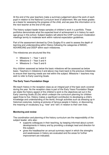At the end of the year teachers make a summary judgement about the work of each pupil in relation to the National Curriculum level of attainment. We use these grades as a basis for assessing the progress of the child, and we pass this information on to the next teacher at the end of the year.

The history subject leader keeps samples of children's work in a portfolio. These portfolios demonstrate what the expected level of achievement is in history for each age group in this school. Subject leaders will attend the CHIP curriculum moderation meetings termly to moderate work within national expectation guidelines.

Part of the assessment devised by Chris Quigley © is used to assess the depth of learning and understanding within History following the categories of BASIC, ADVANCING and DEEP within each milestones.

The milestones are structured like this:

- Milestone 1 Year 1 and 2
- Milestone 2 Year 3 and 4
- Milestone 3 Year 5 and 6

Any children assessed as below the basic milestone will be assessed as below basic. Teachers in milestone 2 and above may track back to the previous milestones to ensure their learning needs are met within the subject. Milestone 1 teachers may wish to refer to Early Learning Goals.

#### **The Early Years Foundation Stage**

We teach history in the reception class as an integral part of the topic work covered during the year. As the reception class is part of the Early Years Foundation Stage we relate the history aspect of the children's work to the objectives set out in the Early Learning Goals (ELGs) which underpin the curriculum planning for children aged three to five. History makes a significant contribution to developing a child's knowledge and understanding of the world, through activities such as dressing up in historical costumes, looking at pictures of famous people in history, or discovering the meaning of vocabulary (e.g. "new" and "old") in relation to their own lives.

#### **Monitoring and review**

The coordination and planning of the history curriculum are the responsibility of the subject leader, who also:

- supports colleagues in their teaching, by keeping informed about current developments in history and by providing a strategic lead and direction for this subject;
- gives the headteacher an annual summary report in which the strengths and weaknesses in history are evaluated and the areas for further improvement are indicated;